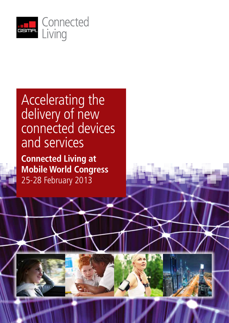

# Accelerating the delivery of new connected devices and services

**Connected Living at Mobile World Congress** 25-28 February 2013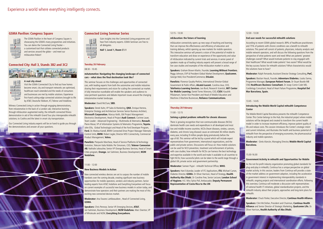# **GSMA Pavilion: Congress Square**

The GSMA Pavilion in the heart of Congress Square is showcasing the GSMA's many programmes and initiatives. You can demo the Connected Living Tracker – a customised tool that collates connected products and services around the globe – and meet our mEducation Robot!

# **Connected City: Hall 3, Stands 3B2 and 3C2**



## **A real city street**

Visit the GSMA Connected City to find out how homes become smart, city and transport networks are optimised, healthcare reach extended and the needs of consumers and businesses are met by mobile solutions. Experience first-hand cutting-edge connected solutions brought to life by AT&T, Deutsche Telekom, KT, Telenor and Vodafone.

Witness Connected Living in action through engaging demonstrations, from mAutomotive in the back of a London cab; interactive learning through mEducation augmented reality; the mHealth connected fitness demonstration in aid of the mHealth Grand Tour plus interoperable mHealth solutions; to Cooltra and the latest in smart city transportation.

Our Connected Living industry experts will be on hand to guide you through the demonstrations and answer all your questions.



# **Connected Living Seminar Series**

Gain insights into the Connected Living programme and hear from industry experts. GSMA Seminars are free to all delegates.

**Hall 1, Level 1, Room C1.1**

# **Tuesday 26 February**

## 08:30 - 10:45

#### **mAutomotive: Navigating the changing landscape of connected cars – what does the final destination look like?**

This seminar focuses on the challenges and opportunities of connected cars, with leading experts from both the automotive and mobile industries sharing their requirements and vision for scaling the connected car market. A fully interactive roundtable will enable the speakers and audience to raise pertinent questions and debate important issues around the changing mAutomotive market landscape.

**Moderator:** David McClure, **SBD.**

**Speakers:** Derek Kuhn, VP Sales & Marketing, **QNX.** Enrique Herrera, Enterprise Strategy and Architecture Services Senior Business Architect, **Microsoft Corporation.** Marcus Keith, GM Project Management Electronics Development, Head of Project **Audi Connect.** Corinne Lauer, Team Leader - Advanced Engineering - Multimedia & Telematics, **Renault.** Pierre Masai, VP of Information Systems & Telematics Programme, **Toyota.** John Ellis, Global Technologist and Head of the Ford Developer Program, **Ford.** Dr. Markus Kaindl, BMW Connected Drive Project Manager Telematic Control Units, **BMW.** Robert Jagler, Director MSS Connectivity, Commercial Product Management, **Volvo.**

**Panelists:** Pierpaolo Marchese, Head of Service Platforms & Technology Evolution, Telecom Italia Mobile. Per Simonsen, CEO, **Telenor Connexion AB.** Nathalie Leboucher, Senior VP Orange Business Services, Head of Smart Cities program, **Orange.** Jari Salminen, Business Development, **M2M Vodafone.**

## 11:00 - 12:00

## **New Business Models in Action**

New connected wireless devices are set to surpass the number of mobile handsets over the coming decade, creating significant new business opportunities for mobile operators, vendors and industry partners. Senior leading experts from AT&T, Vodafone and Everything Everywhere will focus on current examples of successful new business models in action today, and demonstrate how operators and their partners are making the most of this exciting new connected devices market.

**Moderator:** Ana Tavares Lattibeaudiere , Head of Connected Living, **GSMA.**

**Speakers:** Chris Penrose, Senior VP, Emerging Devices, **AT&T.** Jari Salminen, Business Development, **M2M Vodafone.** Marc Overton, VP of Wholesale and M2M, **Everything Everywhere.**

# 12:15 - 13:30

#### **mEducation: the future of learning**

mEducation connectivity opens up new ways of teaching and learning that can improve the effectiveness and efficiency of education and training delivery, whilst opening up new markets for mobile operators. This interactive seminar will present a vision of the potential of mobile to transform education and draw on experience of the opportunity and value of mEducation indicated by current trials and services. A senior panel of speakers made up of leading industry experts will present a broad range of live case studies and examples of the mEducation market in action.

**Speakers:** Graham Brown-Martin, Founder, **Learning Without Frontiers.** Peggy Johnson, EVP & President Global Market Development, **Qualcomm.**  George Held, Vice President/Commerce, **Etisalat.** 

**Panelists:** Florence Gaudry-Perkins, International Director-Global Government & Public Affairs, **Alcatel-Lucent.** Carolina Jeux, CEO, **Telefonica Learning Services.** Leo Burd, Research Scientist, **MIT Center for Mobile Learning.** Daniel Torres Mancera, CEO, **CSEV.** Kaushik Pillalamarri, Senior Vice President and Head of Mobile Education and Machine-2-Machine Businesses, **Reliance Communications.**

## **Thursday 28 February**

#### 11:00 - 12:15

#### **Solving a global problem: mHealth for chronic diseases**

There is growing recognition that non-communicable diseases (NCDs) dominate health care needs and expenditure in all developed and most low and middle-income countries. NCDs (heart diseases, strokes, cancers, diabetes, and chronic lung disease) cause an estimated 36 million deaths every year, including 9 million people dying prematurely before the age of 60. This seminar will be led by a panel which will include expert representatives from government, international organizations, and the public and private sectors. Discussions will focus on: How mobile solutions can be used for NCD prevention, treatment and enforcement of policies, with case studies: how mHealth for NCDs can harness the best technology and expertise available in the world and make it available to all countries to fight NCDs; how successful pilots can be taken to the world stage through a global UN, private sector and government partnership.

**Moderator:** Sameer Pujari - mHealth Technical Officer, **WHO.**

**Speakers:** Hani Eskandar, Leader of ITC Applications, **ITU.** Michael Curran, Diabetes Director, **GSMA.** Dr Oliver Harrison, Head of Strategy, **Health Authority Abu Dhabi.** Dr Caroline Free, Senior Lecturer, **London School of Hygiene.** H.E. Miss Sylvia Poll, Ambassador, **Deputy Permanent Representative of Costa Rica to the UN**

### $12.30 - 13.30$

## **End user needs for successful mHealth solutions**

According to recent GSMA global research, 89% of healthcare practitioners and 75% of patients with chronic conditions see a benefit to mHealth solutions. This panel will consist of patients, physicians, industry analysts and mobile network operators, and will discuss the following questions from the perspective of what patients want and need: What are patients' greatest challenges overall? What would motivate patients to stay engaged with their healthcare? What would make patients' lives easier? What would be the key success factors for mHealth solutions? What characteristics would the solutions have to have?

**Moderator:** Ralph Fernando, Assistant Director Strategy Consulting, **PwC.**

**Speakers:** Bastian Hauck, Founder, **Adventure Diabetes.** Liuska Sanna, Programme Manager, **European Patient Forum.** Dr Stuart Bootle MB ChB, **Healthcare Business Consultant.** Dr Josep Comin Colet MD, Cardiology Consultant, Head of Heart Failure Programme, **Hospital Del Mar Barcelona, Spain.** 

## 13:45 - 14:45

# **Introducing the Mobile World Capital mHealth Competence Center**

The Mobile World Capital Barcelona presents the mHealth Competence Center. This Center belongs to the Hub, the industrial project where mobile solutions will be designed and created to transform the current health model in order to increase treatment efficiency, improve patient quality of life and reduce costs. This session introduces the Center's strategic intent and current initiatives, and illustrates the health and business potential of mHealth from the perspective of emerging economies, the pharmaceutical industry and mobile operators.

**Moderator:** Ginés Alarcón, Managing Director, **Mobile World Capital Barcelona.**

#### 15.00-16.00

#### **Government Activity in mHealth and Opportunities for Mobile**

As the not-for-profit industry organization promoting global standards for plug-and-play in mHealth, Continua has a unique perspective on global market activity. In this session, leaders from Continua will provide a stateof-the-market address on government adoption, including the acceleration in government interest in implementing interoperability standards in mHealth, ongoing projects and international coordination efforts. Following this overview, Continua will moderate a discussion with representatives of national health IT initiatives, global standardisation projects, and the mHealth industry about their projects, approaches and long-term plans for mHealth.

**Moderator:** Chuck Parker, Executive Director, **Continua Health Alliance.**

**Speakers:** Clint McClellan, President and Chairman, **Continua Health Alliance** and Senior Director of Strategic Marketing, **Qualcomm Life.** Dr. Oliver Harrison**, Health Authority of Abu Dhabi.**



**5 4 6 8.0 8.1 7**